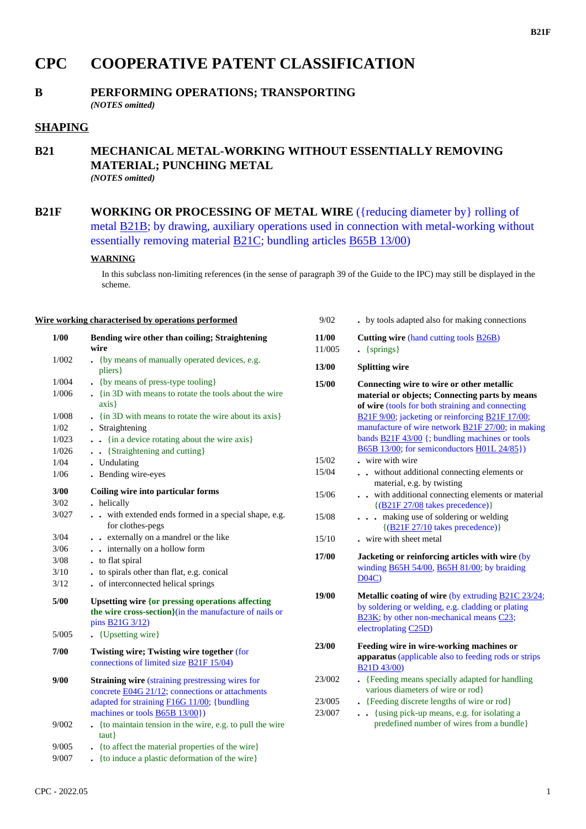## **CPC COOPERATIVE PATENT CLASSIFICATION**

# **B PERFORMING OPERATIONS; TRANSPORTING**

*(NOTES omitted)*

### **SHAPING**

#### **B21 MECHANICAL METAL-WORKING WITHOUT ESSENTIALLY REMOVING MATERIAL; PUNCHING METAL** *(NOTES omitted)*

**B21F WORKING OR PROCESSING OF METAL WIRE** ({reducing diameter by} rolling of metal B21B; by drawing, auxiliary operations used in connection with metal-working without essentially removing material B21C; bundling articles B65B 13/00)

#### **WARNING**

In this subclass non-limiting references (in the sense of paragraph 39 of the Guide to the IPC) may still be displayed in the scheme.

#### **Wire working characterised by operations performed**

| 1/00  | Bending wire other than coiling; Straightening<br>wire                                                                                                                                                       |
|-------|--------------------------------------------------------------------------------------------------------------------------------------------------------------------------------------------------------------|
| 1/002 | (by means of manually operated devices, e.g.<br>pliers }                                                                                                                                                     |
| 1/004 | {by means of press-type tooling}<br>$\ddot{\phantom{0}}$                                                                                                                                                     |
| 1/006 | . {in 3D with means to rotate the tools about the wire<br>axis                                                                                                                                               |
| 1/008 | $\frac{1}{2}$ (in 3D with means to rotate the wire about its axis)                                                                                                                                           |
| 1/02  | . Straightening                                                                                                                                                                                              |
| 1/023 | {in a device rotating about the wire axis}                                                                                                                                                                   |
| 1/026 | {Straightening and cutting}                                                                                                                                                                                  |
| 1/04  | . Undulating                                                                                                                                                                                                 |
| 1/06  | Bending wire-eyes                                                                                                                                                                                            |
| 3/00  | Coiling wire into particular forms                                                                                                                                                                           |
| 3/02  | . helically                                                                                                                                                                                                  |
| 3/027 | with extended ends formed in a special shape, e.g.<br>$\ddot{\phantom{0}}$<br>for clothes-pegs                                                                                                               |
| 3/04  | . . externally on a mandrel or the like                                                                                                                                                                      |
| 3/06  | - internally on a hollow form                                                                                                                                                                                |
| 3/08  | to flat spiral<br>$\cdot$                                                                                                                                                                                    |
| 3/10  | to spirals other than flat, e.g. conical                                                                                                                                                                     |
| 3/12  | of interconnected helical springs                                                                                                                                                                            |
| 5/00  | <b>Upsetting wire {or pressing operations affecting</b><br>the wire cross-section}(in the manufacture of nails or<br>pins <b>B21G</b> 3/12)                                                                  |
| 5/005 | {Upsetting wire}                                                                                                                                                                                             |
| 7/00  | Twisting wire; Twisting wire together (for<br>connections of limited size B21F 15/04)                                                                                                                        |
| 9/00  | <b>Straining wire (straining prestressing wires for</b><br>concrete <b>E04G 21/12</b> ; connections or attachments<br>adapted for straining F16G 11/00; {bundling<br>machines or tools $\angle B65B$ 13/00}) |
| 9/002 | {to maintain tension in the wire, e.g. to pull the wire<br>taut                                                                                                                                              |
| 9/005 | . {to affect the material properties of the wire}                                                                                                                                                            |
|       |                                                                                                                                                                                                              |

9/007 **.** {to induce a plastic deformation of the wire}

| 9/02            | . by tools adapted also for making connections                                                                                                                                                                                                                                                                                                                                       |
|-----------------|--------------------------------------------------------------------------------------------------------------------------------------------------------------------------------------------------------------------------------------------------------------------------------------------------------------------------------------------------------------------------------------|
| 11/00<br>11/005 | Cutting wire (hand cutting tools <b>B26B</b> )<br>$\left\{$ springs $\right\}$                                                                                                                                                                                                                                                                                                       |
| 13/00           | <b>Splitting wire</b>                                                                                                                                                                                                                                                                                                                                                                |
| 15/00           | Connecting wire to wire or other metallic<br>material or objects; Connecting parts by means<br>of wire (tools for both straining and connecting<br>B21F 9/00; jacketing or reinforcing B21F 17/00;<br>manufacture of wire network <b>B21F 27/00</b> ; in making<br>bands $\underline{B21F43/00}$ {; bundling machines or tools<br><b>B65B 13/00; for semiconductors H01L 24/85})</b> |
| 15/02           | . wire with wire                                                                                                                                                                                                                                                                                                                                                                     |
| 15/04           | without additional connecting elements or<br>material, e.g. by twisting                                                                                                                                                                                                                                                                                                              |
| 15/06           | with additional connecting elements or material<br>$\ddot{\phantom{0}}$<br>$\{(B21F 27/08 \text{ takes precedence})\}$                                                                                                                                                                                                                                                               |
| 15/08           | making use of soldering or welding<br>$\{(B21F 27/10)$ takes precedence)}                                                                                                                                                                                                                                                                                                            |
| 15/10           | . wire with sheet metal                                                                                                                                                                                                                                                                                                                                                              |
| 17/00           | Jacketing or reinforcing articles with wire (by<br>winding $\frac{B65H}{54/00}$ , $\frac{B65H}{81/00}$ ; by braiding<br>D04C                                                                                                                                                                                                                                                         |
| 19/00           | Metallic coating of wire (by extruding B21C 23/24;<br>by soldering or welding, e.g. cladding or plating<br>B23K; by other non-mechanical means C23;<br>electroplating C25D)                                                                                                                                                                                                          |
| 23/00           | Feeding wire in wire-working machines or<br>apparatus (applicable also to feeding rods or strips<br>B21D 43/00)                                                                                                                                                                                                                                                                      |
| 23/002          | • {Feeding means specially adapted for handling<br>various diameters of wire or rod}                                                                                                                                                                                                                                                                                                 |
| 23/005          | . {Feeding discrete lengths of wire or rod}                                                                                                                                                                                                                                                                                                                                          |
| 23/007          | {using pick-up means, e.g. for isolating a<br>$\ddotsc$<br>predefined number of wires from a bundle}                                                                                                                                                                                                                                                                                 |